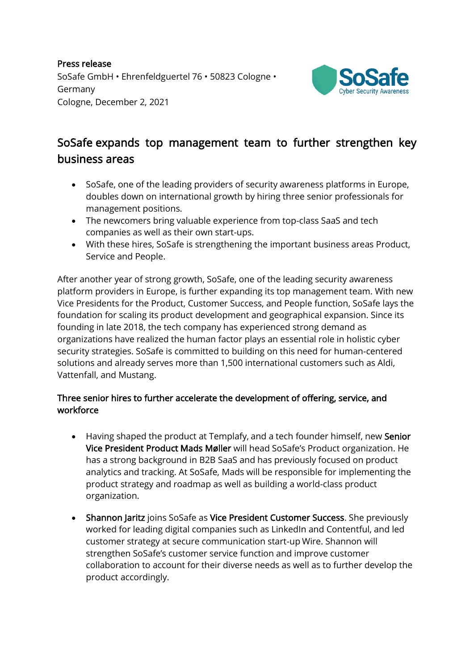Press release SoSafe GmbH • Ehrenfeldguertel 76 • 50823 Cologne • Germany Cologne, December 2, 2021



## SoSafe expands top management team to further strengthen key business areas

- SoSafe, one of the leading providers of security awareness platforms in Europe, doubles down on international growth by hiring three senior professionals for management positions.
- The newcomers bring valuable experience from top-class SaaS and tech companies as well as their own start-ups.
- With these hires, SoSafe is strengthening the important business areas Product, Service and People.

After another year of strong growth, SoSafe, one of the leading security awareness platform providers in Europe, is further expanding its top management team. With new Vice Presidents for the Product, Customer Success, and People function, SoSafe lays the foundation for scaling its product development and geographical expansion. Since its founding in late 2018, the tech company has experienced strong demand as organizations have realized the human factor plays an essential role in holistic cyber security strategies. SoSafe is committed to building on this need for human-centered solutions and already serves more than 1,500 international customers such as Aldi, Vattenfall, and Mustang.

## Three senior hires to further accelerate the development of offering, service, and workforce

- Having shaped the product at Templafy, and a tech founder himself, new Senior Vice President Product Mads Møller will head SoSafe's Product organization. He has a strong background in B2B SaaS and has previously focused on product analytics and tracking. At SoSafe, Mads will be responsible for implementing the product strategy and roadmap as well as building a world-class product organization.
- Shannon Jaritz joins SoSafe as Vice President Customer Success. She previously worked for leading digital companies such as LinkedIn and Contentful, and led customer strategy at secure communication start-up Wire. Shannon will strengthen SoSafe's customer service function and improve customer collaboration to account for their diverse needs as well as to further develop the product accordingly.